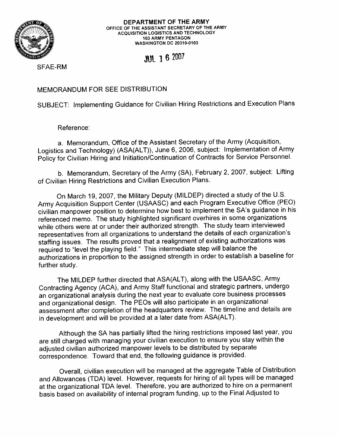

**DEPARTMENT OF THE ARMY OFFICE OF THE ASSISTANT SECRETARY OF THE ARMY ACQUISITION LOGISTICS AND TECHNOLOGY 103 ARMY PENTAGON WASHINGTON DC 20310-0103** 

## **JUL 16 2007**

SFAE-RM

MEMORANDUM FOR SEE DISTRIBUTION

SUBJECT: Implementing Guidance for Civilian Hiring Restrictions and Execution Plans

Reference:

a. Memorandum, Office of the Assistant Secretary of the Army (Acquisition, Logistics and Technology) (ASA(ALT)), June 6, 2006, subject: Implementation of Army Policy for Civilian Hiring and Initiation/Continuation of Contracts for Service Personnel.

b. Memorandum, Secretary of the Army (SA), February 2, 2007, subject: Lifting of Civilian Hiring Restrictions and Civilian Execution Plans.

On March 19, 2007, the Military Deputy (MILDEP) directed a study of the U.S. Army Acquisition Support Center (USAASC) and each Program Executive Office (PEO) civilian manpower position to determine how best to implement the SA's guidance in his referenced memo. The study highlighted significant overhires in some organizations while others were at or under their authorized strength. The study team interviewed representatives from all organizations to understand the details of each organization's staffing issues. The results proved that a realignment of existing authorizations was required to "level the playing field." This intermediate step will balance the authorizations in proportion to the assigned strength in order to establish a baseline for further study.

The MILDEP further directed that ASA(ALT), along with the USAASC, Army Contracting Agency (ACA), and Army Staff functional and strategic partners, undergo an organizational analysis during the next year to evaluate core business processes and organizational design. The PEOs will also participate in an organizational assessment after completion of the headquarters review. The timeline and details are in development and will be provided at a later date from ASA(ALT).

Although the SA has partially lifted the hiring restrictions imposed last year, you are still charged with managing your civilian execution to ensure you stay within the adjusted civilian authorized manpower levels to be distributed by separate correspondence. Toward that end, the following guidance is provided.

Overall, civilian execution will be managed at the aggregate Table of Distribution and Allowances (TDA) level. However, requests for hiring of all types will be managed at the organizational TDA level. Therefore, you are authorized to hire on a permanent basis based on availability of internal program funding, up to the Final Adjusted to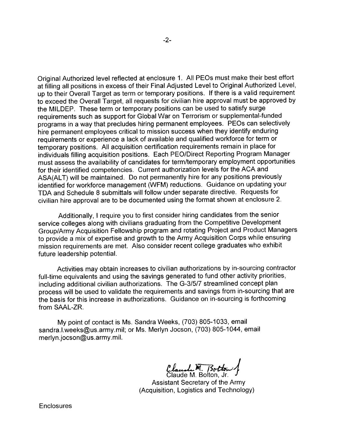Original Authorized level reflected at enclosure 1. All PEOs must make their best effort at filling all positions in excess of their Final Adjusted Level to Original Authorized Level, up to their Overall Target as term or temporary positions. If there is a valid requirement to exceed the Overall Target, all requests for civilian hire approval must be approved by the MILDEP. These term or temporary positions can be used to satisfy surge requirements such as support for Global War on Terrorism or supplemental-funded programs in a way that precludes hiring permanent employees. PEOs can selectively hire permanent employees critical to mission success when they identify enduring requirements or experience a lack of available and qualified workforce for term or temporary positions. All acquisition certification requirements remain in place for individuals filling acquisition positions. Each PEO/Direct Reporting Program Manager must assess the availability of candidates for termltemporary employment opportunities for their identified competencies. Current authorization levels for the ACA and ASA(ALT) will be maintained. Do not permanently hire for any positions previously identified for workforce management (WFM) reductions. Guidance on updating your TDA and Schedule 8 submittals will follow under separate directive. Requests for civilian hire approval are to be documented using the format shown at enclosure 2.

Additionally, I require you to first consider hiring candidates from the senior service colleges along with civilians graduating from the Competitive Development GrouplArmy Acquisition Fellowship program and rotating Project and Product Managers to provide a mix of expertise and growth to the Army Acquisition Corps while ensuring mission requirements are met. Also consider recent college graduates who exhibit future leadership potential.

Activities may obtain increases to civilian authorizations by in-sourcing contractor full-time equivalents and using the savings generated to fund other activity priorities, including additional civilian authorizations. The G-31517 streamlined concept plan process will be used to validate the requirements and savings from in-sourcing that are the basis for this increase in authorizations. Guidance on in-sourcing is forthcoming from SAAL-ZR.

My point of contact is Ms. Sandra Weeks, (703) 805-1033, email sandra.l.weeks@us.army.mil; or Ms. Merlyn Jocson, (703) 805-1044, email merlyn.jocson@us.army.mil.

*~~2&j* Claude M. Bolton, Jr.

Assistant Secretary of the Army (Acquisition, Logistics and Technology)

**Enclosures**